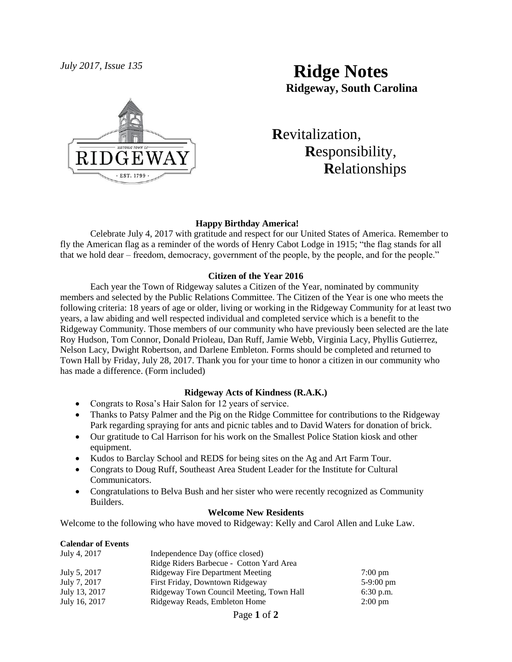

# *July 2017, Issue 135* **Ridge Notes Ridgeway, South Carolina**

 **R**evitalization,  **R**esponsibility,  **R**elationships

## **Happy Birthday America!**

Celebrate July 4, 2017 with gratitude and respect for our United States of America. Remember to fly the American flag as a reminder of the words of Henry Cabot Lodge in 1915; "the flag stands for all that we hold dear – freedom, democracy, government of the people, by the people, and for the people."

## **Citizen of the Year 2016**

Each year the Town of Ridgeway salutes a Citizen of the Year, nominated by community members and selected by the Public Relations Committee. The Citizen of the Year is one who meets the following criteria: 18 years of age or older, living or working in the Ridgeway Community for at least two years, a law abiding and well respected individual and completed service which is a benefit to the Ridgeway Community. Those members of our community who have previously been selected are the late Roy Hudson, Tom Connor, Donald Prioleau, Dan Ruff, Jamie Webb, Virginia Lacy, Phyllis Gutierrez, Nelson Lacy, Dwight Robertson, and Darlene Embleton. Forms should be completed and returned to Town Hall by Friday, July 28, 2017. Thank you for your time to honor a citizen in our community who has made a difference. (Form included)

# **Ridgeway Acts of Kindness (R.A.K.)**

- Congrats to Rosa's Hair Salon for 12 years of service.
- Thanks to Patsy Palmer and the Pig on the Ridge Committee for contributions to the Ridgeway Park regarding spraying for ants and picnic tables and to David Waters for donation of brick.
- Our gratitude to Cal Harrison for his work on the Smallest Police Station kiosk and other equipment.
- Kudos to Barclay School and REDS for being sites on the Ag and Art Farm Tour.
- Congrats to Doug Ruff, Southeast Area Student Leader for the Institute for Cultural Communicators.
- Congratulations to Belva Bush and her sister who were recently recognized as Community Builders.

#### **Welcome New Residents**

Welcome to the following who have moved to Ridgeway: Kelly and Carol Allen and Luke Law.

#### **Calendar of Events**

| July 4, 2017  | Independence Day (office closed)         |                     |
|---------------|------------------------------------------|---------------------|
|               | Ridge Riders Barbecue - Cotton Yard Area |                     |
| July 5, 2017  | Ridgeway Fire Department Meeting         | $7:00 \text{ pm}$   |
| July 7, 2017  | First Friday, Downtown Ridgeway          | $5-9:00 \text{ pm}$ |
| July 13, 2017 | Ridgeway Town Council Meeting, Town Hall | $6:30$ p.m.         |
| July 16, 2017 | Ridgeway Reads, Embleton Home            | $2:00 \text{ pm}$   |

Page **1** of **2**